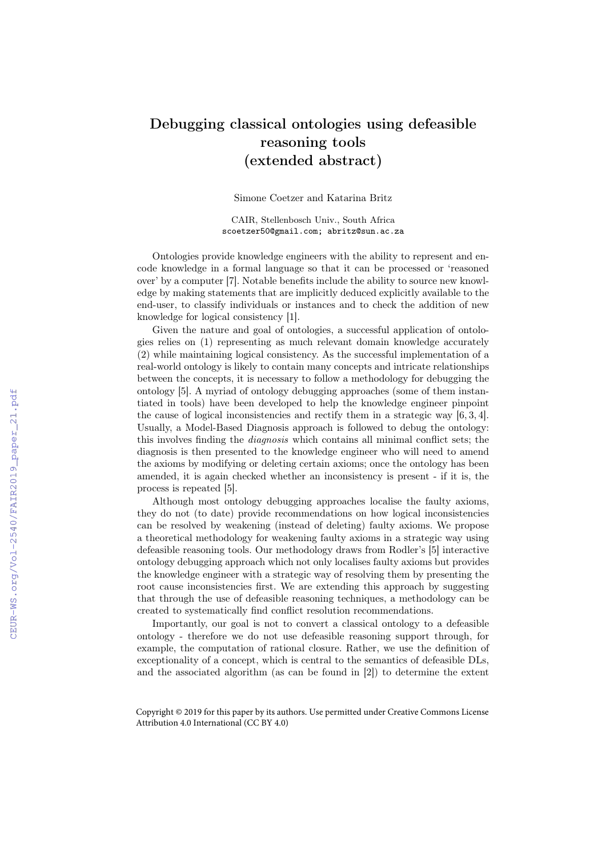## Debugging classical ontologies using defeasible reasoning tools (extended abstract)

Simone Coetzer and Katarina Britz

CAIR, Stellenbosch Univ., South Africa scoetzer50@gmail.com; abritz@sun.ac.za

Ontologies provide knowledge engineers with the ability to represent and encode knowledge in a formal language so that it can be processed or 'reasoned over' by a computer [7]. Notable benefits include the ability to source new knowledge by making statements that are implicitly deduced explicitly available to the end-user, to classify individuals or instances and to check the addition of new knowledge for logical consistency [1].

Given the nature and goal of ontologies, a successful application of ontologies relies on (1) representing as much relevant domain knowledge accurately (2) while maintaining logical consistency. As the successful implementation of a real-world ontology is likely to contain many concepts and intricate relationships between the concepts, it is necessary to follow a methodology for debugging the ontology [5]. A myriad of ontology debugging approaches (some of them instantiated in tools) have been developed to help the knowledge engineer pinpoint the cause of logical inconsistencies and rectify them in a strategic way [6, 3, 4]. Usually, a Model-Based Diagnosis approach is followed to debug the ontology: this involves finding the diagnosis which contains all minimal conflict sets; the diagnosis is then presented to the knowledge engineer who will need to amend the axioms by modifying or deleting certain axioms; once the ontology has been amended, it is again checked whether an inconsistency is present - if it is, the process is repeated [5].

Although most ontology debugging approaches localise the faulty axioms, they do not (to date) provide recommendations on how logical inconsistencies can be resolved by weakening (instead of deleting) faulty axioms. We propose a theoretical methodology for weakening faulty axioms in a strategic way using defeasible reasoning tools. Our methodology draws from Rodler's [5] interactive ontology debugging approach which not only localises faulty axioms but provides the knowledge engineer with a strategic way of resolving them by presenting the root cause inconsistencies first. We are extending this approach by suggesting that through the use of defeasible reasoning techniques, a methodology can be created to systematically find conflict resolution recommendations.

Importantly, our goal is not to convert a classical ontology to a defeasible ontology - therefore we do not use defeasible reasoning support through, for example, the computation of rational closure. Rather, we use the definition of exceptionality of a concept, which is central to the semantics of defeasible DLs, and the associated algorithm (as can be found in [2]) to determine the extent

Copyright © 2019 for this paper by its authors. Use permitted under Creative Commons License Attribution 4.0 International (CC BY 4.0)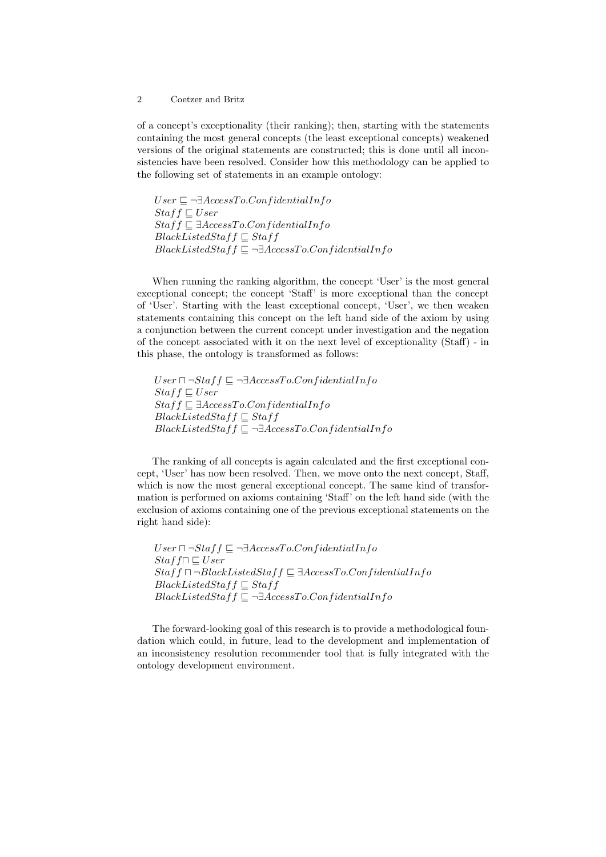## 2 Coetzer and Britz

of a concept's exceptionality (their ranking); then, starting with the statements containing the most general concepts (the least exceptional concepts) weakened versions of the original statements are constructed; this is done until all inconsistencies have been resolved. Consider how this methodology can be applied to the following set of statements in an example ontology:

 $User \sqsubseteq \neg \exists AccessTo.Configuration$  $Staff \sqsubseteq User$  $Staff \sqsubseteq \exists AccessTo.ConfidentialInfo$  $BlackListedStaff \subseteq Staff$  $BlackListedStaff \sqsubseteq \neg \exists AccessTo.ConfidentialInfo$ 

When running the ranking algorithm, the concept 'User' is the most general exceptional concept; the concept 'Staff' is more exceptional than the concept of 'User'. Starting with the least exceptional concept, 'User', we then weaken statements containing this concept on the left hand side of the axiom by using a conjunction between the current concept under investigation and the negation of the concept associated with it on the next level of exceptionality (Staff) - in this phase, the ontology is transformed as follows:

 $User \sqcap \neg Staff \sqsubseteq \neg \exists AccessTo.ConfidentialInfo$  $Staff \sqsubseteq User$  $Staff \sqsubseteq \exists AccessTo.ConfidentialInfo$  $BlackListedStaff \sqsubseteq Staff$  $BlackListedStaff \sqsubseteq \neg \exists AccessTo.ConfidentialInfo$ 

The ranking of all concepts is again calculated and the first exceptional concept, 'User' has now been resolved. Then, we move onto the next concept, Staff, which is now the most general exceptional concept. The same kind of transformation is performed on axioms containing 'Staff' on the left hand side (with the exclusion of axioms containing one of the previous exceptional statements on the right hand side):

 $User \sqcap \neg Staff \sqsubseteq \neg \exists AccessTo.ConfidentialInfo$  $Staff \sqsubseteq User$  $Staff \sqcap \neg BlackListedStaff \sqsubseteq \exists AccessTo.ConfidentialInfo$  $BlackListedStaff \subseteq Staff$  $BlackListedStaff \sqsubseteq \neg \exists AccessTo.ConfidentialInfo$ 

The forward-looking goal of this research is to provide a methodological foundation which could, in future, lead to the development and implementation of an inconsistency resolution recommender tool that is fully integrated with the ontology development environment.